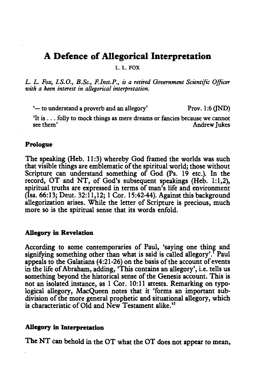# A Defence of Allegorical Interpretation

L. L. FOX

*L. L. Fox, I.S.O., B.Sc., F.Inst.P., is a retired Government Scientific Officer with a keen interest in allegorical interpretation.* 

'-to understand a proverb and an allegory' Prov. 1:6 (JND)

'It is .. : folly to mock things as mere dreams or fancies because we cannot Andrew Jukes

#### Prologue

The speaking (Heb. 11:3) whereby God framed the worlds was such that visible things are emblematic of the spiritual world; those without Scripture can understand something of God (Ps. 19 etc.). In the record, OT and NT, of God's subsequent speakings (Heh. 1:1,2), spiritual truths are expressed in terms of man's life and environment (Isa. 66:13; Deut. 32:11,12; 1 Cor. 15:42-44). Against this background allegorization arises. While the letter of Scripture is precious, much more so is the spiritual sense that its words enfold.

### Allegory in Revelation

According to some contemporaries of Paul, 'saying one thing and signifying something other than what is said is called allegory'. Paul appeals to the Galatians ( 4:21-26) on the basis of the account of events in the life of Abraham, adding, 'This contains an allegory', i.e. tells us something beyond the historical sense of the Genesis account. This is not an isolated instance, as 1 Cor. 10:11 attests. Remarking on typological allegory, MacQueen notes that it 'forms an important subdivision of the more general prophetic and situational allegory, which is characteristic of Old and New Testament alike.<sup>32</sup>

## Allegory in Interpretation

The NT can behold in the OT what the OT does not appear to mean,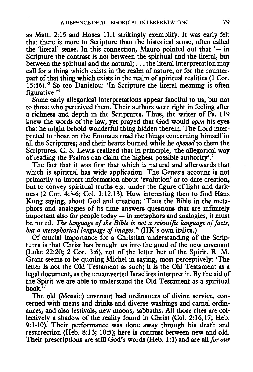as Matt. 2:15 and Hosea 11:1 strikingly exemplify. It was early felt that there is more to Scripture than the historical sense, often called the 'literal' sense. In this connection, Mauro pointed out that ' $-$  in Scripture the contrast is not between the spiritual and the literal, but between the spiritual and the natural; ... the literal interpretation may call for a thing which exists in the realm of nature, or for the counterpart of that thing which exists in the realm of spiritual realities (1 Cor. 15:46).'3 So too Danielou: 'In Scripture the literal meaning is often figurative. ' 4

Some early allegorical interpretations appear fanciful to us, but not to those who perceived them. Their authors were right in feeling after a richness and depth in the Scriptures. Thus, the writer of Ps. 119 knew the words of the law, yet prayed that God would *open* his eyes that he might behold wonderful thing hidden therein. The Lord interpreted to those on the Emmaus road the things concerning himself in all the Scriptures; and their hearts burned while he *opened* to them the Scriptures. C. S. Lewis realized that in principle, 'the allegorical way of reading the Psalms can claim the highest possible authority'. 5

The fact that it was first that which is natural and afterwards that which is spiritual has wide application. The Genesis account is not primarily to impart information about 'evolution' or to date creation, but to convey spiritual truths e.g. under the figure of light and darkness (2 Cor. 4:3-6; Col. 1:12,13). How interesting then to find Hans Kung saying, about God and creation: 'Thus the Bible in the metaphors and analogies of its time answers questions that are infmitely important also for people today  $-$  in metaphors and analogies, it must be noted. *The language of the Bible is not a scientific language of facts, but a metaphorical language of images.'6* (HK's own italics.)

Of crucial importance for a Christian understanding of the Scriptures is that Christ has brought us into the good of the new covenant (Luke 22:20; 2 Cor. 3:6), not of the letter but of the Spirit. R. M. Grant seems to be quoting Michel in saying, most perceptively: 'The letter is not the Old Testament as such; it is the Old Testament as a legal document, as the unconverted Israelites interpret it. By the aid of the Spirit we are able to understand the Old Testament as a spiritual book.

The old (Mosaic) covenant had ordinances of divine service, concerned with meats and drinks and diverse washings and carnal ordinances, and also festivals, new moons, sabbaths. All those rites are collectively a shadow of the reality found in Christ (Col. 2:16,17; Heb. 9:1-10). Their performance was done away through his death and resurrection (Heb. 8:13; 10:5); here is contrast between new and old. Their prescriptions are still God's words (Heb. 1:1) and are all *for our*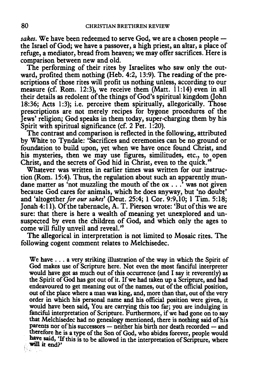sakes. We have been redeemed to serve God, we are a chosen people the Israel of God; we have a passover, a high priest, an altar, a place of refuge, a mediator, bread from heaven; we may offer sacrifices. Here is comparison between new and old.

The performing of their rites by Israelites who saw only the outward, profited them nothing (Heb. 4:2, 13:9). The reading of the prescriptions of those rites will profit us nothing unless, according to our measure (cf. Rom. 12:3), we receive them (Matt. 11:14) even in all their details as redolent of the things of God's spiritual kingdom (John 18:36; Acts 1:3); i.e. perceive them spiritually, allegorically. Those prescriptions are not merely recipes for bygone procedures of the Jews' religion; God speaks in them today, super-charging them by his Spirit with spiritual significance (cf. 2 Pet. 1:20).

The contrast and comparison is reflected in the following, attributed by White to Tyndale: 'Sacrifices and ceremonies can be no ground or foundation to build upon, yet when we have once found Christ, and his mysteries, then we may use figures, similitudes, etc., to open Christ, and the secrets of God hid in Christ, even to the quick. '

Whatever was written in earlier times was written for our instruction (Rom. 15:4). Thus, the regulation about such an apparently mundane matter as 'not muzzling the mouth of the ox ... ' was not given because God cares for animals, which he does anyway, but 'no doubt' and 'altogether *for our sakes'* (Deut. 25:4; 1 Cor. 9:9,10; 1 Tim. 5:18; Jonah 4:11). Of the tabernacle, A. T. Pierson wrote: 'But of this we are sure: that there is here a wealth of meaning yet unexplored and unsuspected by even the children of God, and which only the ages to come will fully unveil and reveal."

The allegorical in interpretation is not limited to Mosaic rites. The following cogent comment relates to Melchisedec.

We have ... a very striking illustration of the way in which the Spirit of God makes use of Scripture here. Not even the most fanciful interpreter would have got as much out of this occurrence (and I say it reverently) as the Spirit of God has got out of it. If we had taken up a Scripture, and had endeavoured to get meaning out of the names, out of the official position, out of the place where a man was king, and, more than that, out of the very order in which his personal name and his official position were given, it would have been said, You are carrying this too far; you are indulging in fanciful interpretation of Scripture. Furthermore, if we had gone on to say that Melchisedec had no genealogy mentioned, there is nothing said of his parents nor of his successors - neither his birth nor death recorded - and therefore he is a type of the Son of God, who abides forever, people would have said, 'If this is to be allowed in the interpretation of Scripture, where<br>will it end?' will it end?'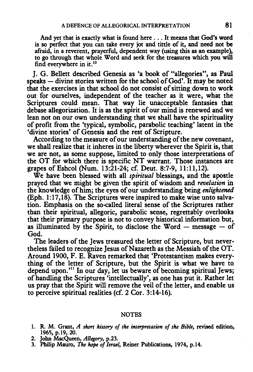And yet that is exactly what is found here ... It means that God's word is so perfect that you can take every jot and tittle of it, and need not be afraid, in a reverent, prayerful, dependent way (using this as an example), to go through that whole Word and seek for the treasures which you will find everywhere in it.<sup>10</sup>

J. G. Bellett described Genesis as 'a book of "allegories", as Paul speaks - divine stories written for the school of God'. It may be noted that the exercises in that school do not consist of sitting down to work out for ourselves, independent of the teacher as it were, what the Scriptures could mean. That way lie unacceptable fantasies that debase allegorization. It is as the spirit of our mind is renewed and we lean not on our own understanding that we shall have the spirituality of profit from the 'typical, symbolic, parabolic teaching' latent in the 'divine stories' of Genesis and the rest of Scripture.

According to the measure of our understanding of the new covenant, we shall realize that it inheres in the liberty wherever the Spirit is, that we are not, as some suppose, limited to only those interpretations of the OT for which there is specific NT warrant. Those instances are grapes of Eshcol (Num. 13:21-24; cf. Deut. 8:7-9, 11:11,12).

We have been blessed with all *spiritual* blessings, and the apostle prayed that we might be given the spirit of wisdom and *revelation* in the knowledge of him; the eyes of our understanding being *enlightened*  (Eph. 1:17,18). The Scriptures were inspired to make wise unto salvation. Emphasis on the so-called literal sense of the Scriptures rather than their spiritual, allegoric, parabolic sense, regrettably overlooks that their primary purpose is not to convey historical information but, as illuminated by the Spirit, to disclose the Word  $-$  message  $-$  of God.

The leaders of the Jews treasured the letter of Scripture, but nevertheless failed to recognize Jesus of Nazareth as the Messiah of the OT. Around 1900, F. E. Raven remarked that 'Protestantism makes everything of the letter of Scripture, but the Spirit is what we have to depend upon.'<sup>11</sup> In our day, let us beware of becoming spiritual Jews; of handling the Scriptures 'intellectually', as one has put it. Rather let us pray that the Spirit will remove the veil of the letter, and enable us to perceive spiritual realities (cf. 2 Cor. 3:14-16).

#### NOTES

- 1. R. M. Grant, *A short history of the interpretation of the Bible,* revised edition, 1965, p.19, 20.
- 2. John MacQueen, *Allegory,* p.23.
- 3. Philip Mauro, The hope *of Israel,* Reiner Publications, 1974, p.14.